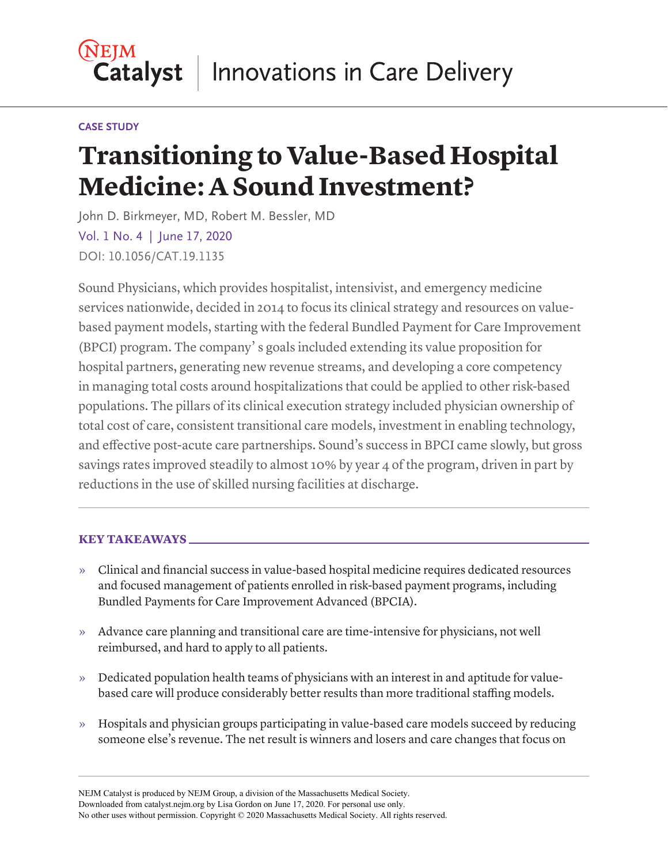

#### CASE STUDY

# **Transitioning to Value-Based Hospital Medicine: A Sound Investment?**

John D. Birkmeyer, MD, Robert M. Bessler, MD Vol. 1 No. 4 | June 17, 2020 DOI: 10.1056/CAT.19.1135

Sound Physicians, which provides hospitalist, intensivist, and emergency medicine services nationwide, decided in 2014 to focus its clinical strategy and resources on valuebased payment models, starting with the federal Bundled Payment for Care Improvement (BPCI) program. The company' s goals included extending its value proposition for hospital partners, generating new revenue streams, and developing a core competency in managing total costs around hospitalizations that could be applied to other risk-based populations. The pillars of its clinical execution strategy included physician ownership of total cost of care, consistent transitional care models, investment in enabling technology, and effective post-acute care partnerships. Sound's success in BPCI came slowly, but gross savings rates improved steadily to almost 10% by year 4 of the program, driven in part by reductions in the use of skilled nursing facilities at discharge.

#### **KEY TAKEAWAYS**

- » Clinical and financial success in value-based hospital medicine requires dedicated resources and focused management of patients enrolled in risk-based payment programs, including Bundled Payments for Care Improvement Advanced (BPCIA).
- » Advance care planning and transitional care are time-intensive for physicians, not well reimbursed, and hard to apply to all patients.
- » Dedicated population health teams of physicians with an interest in and aptitude for valuebased care will produce considerably better results than more traditional staffing models.
- » Hospitals and physician groups participating in value-based care models succeed by reducing someone else's revenue. The net result is winners and losers and care changes that focus on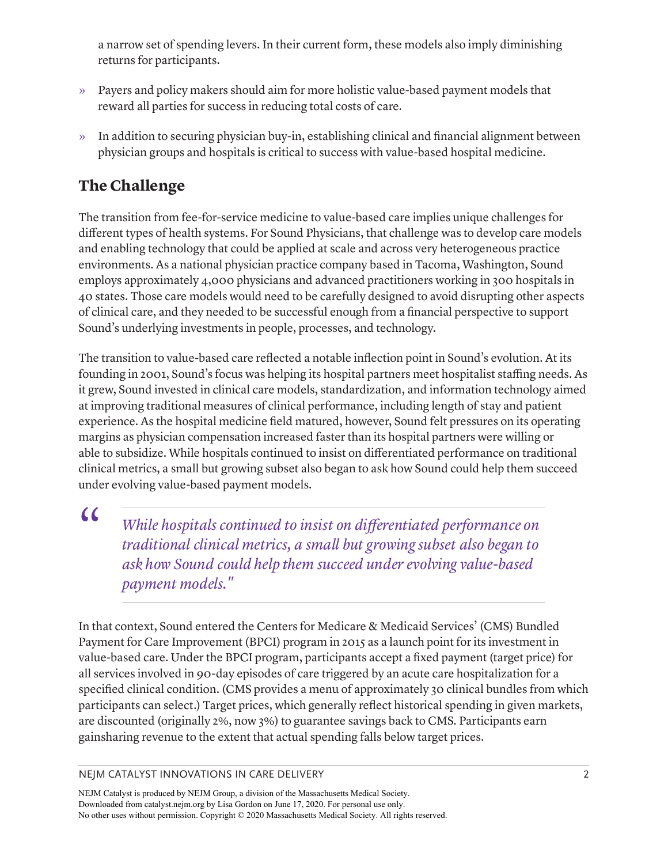a narrow set of spending levers. In their current form, these models also imply diminishing returns for participants.

- » Payers and policy makers should aim for more holistic value-based payment models that reward all parties for success in reducing total costs of care.
- » In addition to securing physician buy-in, establishing clinical and financial alignment between physician groups and hospitals is critical to success with value-based hospital medicine.

# **The Challenge**

The transition from fee-for-service medicine to value-based care implies unique challenges for different types of health systems. For Sound Physicians, that challenge was to develop care models and enabling technology that could be applied at scale and across very heterogeneous practice environments. As a national physician practice company based in Tacoma, Washington, Sound employs approximately 4,000 physicians and advanced practitioners working in 300 hospitals in 40 states. Those care models would need to be carefully designed to avoid disrupting other aspects of clinical care, and they needed to be successful enough from a financial perspective to support Sound's underlying investments in people, processes, and technology.

The transition to value-based care reflected a notable inflection point in Sound's evolution. At its founding in 2001, Sound's focus was helping its hospital partners meet hospitalist staffing needs. As it grew, Sound invested in clinical care models, standardization, and information technology aimed at improving traditional measures of clinical performance, including length of stay and patient experience. As the hospital medicine field matured, however, Sound felt pressures on its operating margins as physician compensation increased faster than its hospital partners were willing or able to subsidize. While hospitals continued to insist on differentiated performance on traditional clinical metrics, a small but growing subset also began to ask how Sound could help them succeed under evolving value-based payment models.

 $cc$ 

*While hospitals continued to insist on differentiated performance on traditional clinical metrics, a small but growing subset also began to ask how Sound could help them succeed under evolving value-based payment models."*

In that context, Sound entered the Centers for Medicare & Medicaid Services' (CMS) Bundled Payment for Care Improvement (BPCI) program in 2015 as a launch point for its investment in value-based care. Under the BPCI program, participants accept a fixed payment (target price) for all services involved in 90-day episodes of care triggered by an acute care hospitalization for a specified clinical condition. (CMS provides a menu of approximately 30 clinical bundles from which participants can select.) Target prices, which generally reflect historical spending in given markets, are discounted (originally 2%, now 3%) to guarantee savings back to CMS. Participants earn gainsharing revenue to the extent that actual spending falls below target prices.

#### NEJM CATALYST INNOVATIONS IN CARE DELIVERY 2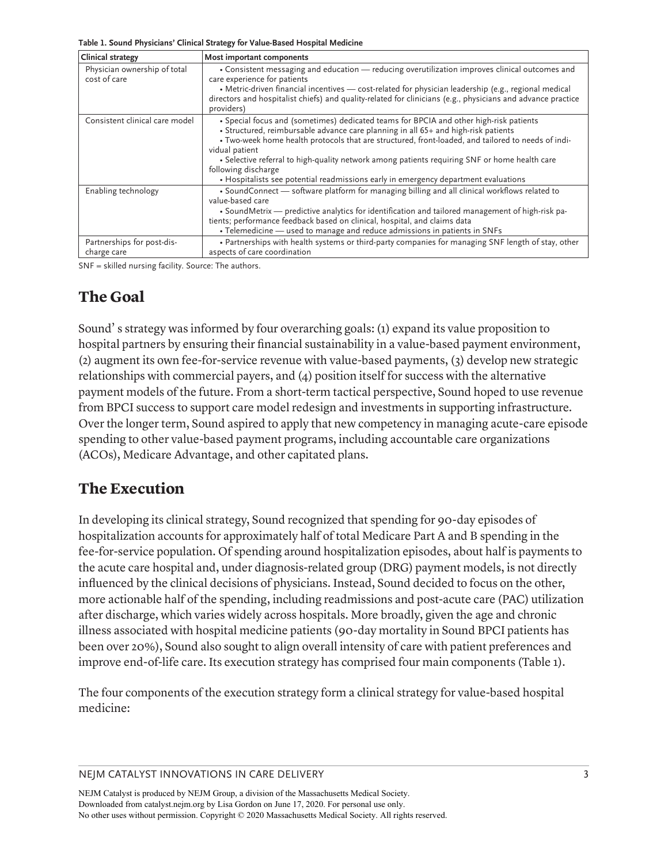Table 1. Sound Physicians' Clinical Strategy for Value-Based Hospital Medicine

| <b>Clinical strategy</b>                     | Most important components                                                                                                                                                                                                                                                                                                                                                                                                                                                                                           |
|----------------------------------------------|---------------------------------------------------------------------------------------------------------------------------------------------------------------------------------------------------------------------------------------------------------------------------------------------------------------------------------------------------------------------------------------------------------------------------------------------------------------------------------------------------------------------|
| Physician ownership of total<br>cost of care | • Consistent messaging and education — reducing overutilization improves clinical outcomes and<br>care experience for patients<br>• Metric-driven financial incentives - cost-related for physician leadership (e.g., regional medical<br>directors and hospitalist chiefs) and quality-related for clinicians (e.g., physicians and advance practice<br>providers)                                                                                                                                                 |
| Consistent clinical care model               | • Special focus and (sometimes) dedicated teams for BPCIA and other high-risk patients<br>• Structured, reimbursable advance care planning in all 65+ and high-risk patients<br>. Two-week home health protocols that are structured, front-loaded, and tailored to needs of indi-<br>vidual patient<br>• Selective referral to high-quality network among patients requiring SNF or home health care<br>following discharge<br>• Hospitalists see potential readmissions early in emergency department evaluations |
| Enabling technology                          | • SoundConnect — software platform for managing billing and all clinical workflows related to<br>value-based care<br>• SoundMetrix — predictive analytics for identification and tailored management of high-risk pa-<br>tients; performance feedback based on clinical, hospital, and claims data<br>• Telemedicine - used to manage and reduce admissions in patients in SNFs                                                                                                                                     |
| Partnerships for post-dis-<br>charge care    | • Partnerships with health systems or third-party companies for managing SNF length of stay, other<br>aspects of care coordination                                                                                                                                                                                                                                                                                                                                                                                  |

SNF = skilled nursing facility. Source: The authors.

# **The Goal**

Sound' s strategy was informed by four overarching goals: (1) expand its value proposition to hospital partners by ensuring their financial sustainability in a value-based payment environment, (2) augment its own fee-for-service revenue with value-based payments, (3) develop new strategic relationships with commercial payers, and (4) position itself for success with the alternative payment models of the future. From a short-term tactical perspective, Sound hoped to use revenue from BPCI success to support care model redesign and investments in supporting infrastructure. Over the longer term, Sound aspired to apply that new competency in managing acute-care episode spending to other value-based payment programs, including accountable care organizations (ACOs), Medicare Advantage, and other capitated plans.

### **The Execution**

In developing its clinical strategy, Sound recognized that spending for 90-day episodes of hospitalization accounts for approximately half of total Medicare Part A and B spending in the fee-for-service population. Of spending around hospitalization episodes, about half is payments to the acute care hospital and, under diagnosis-related group (DRG) payment models, is not directly influenced by the clinical decisions of physicians. Instead, Sound decided to focus on the other, more actionable half of the spending, including readmissions and post-acute care (PAC) utilization after discharge, which varies widely across hospitals. More broadly, given the age and chronic illness associated with hospital medicine patients (90-day mortality in Sound BPCI patients has been over 20%), Sound also sought to align overall intensity of care with patient preferences and improve end-of-life care. Its execution strategy has comprised four main components (Table 1).

The four components of the execution strategy form a clinical strategy for value-based hospital medicine: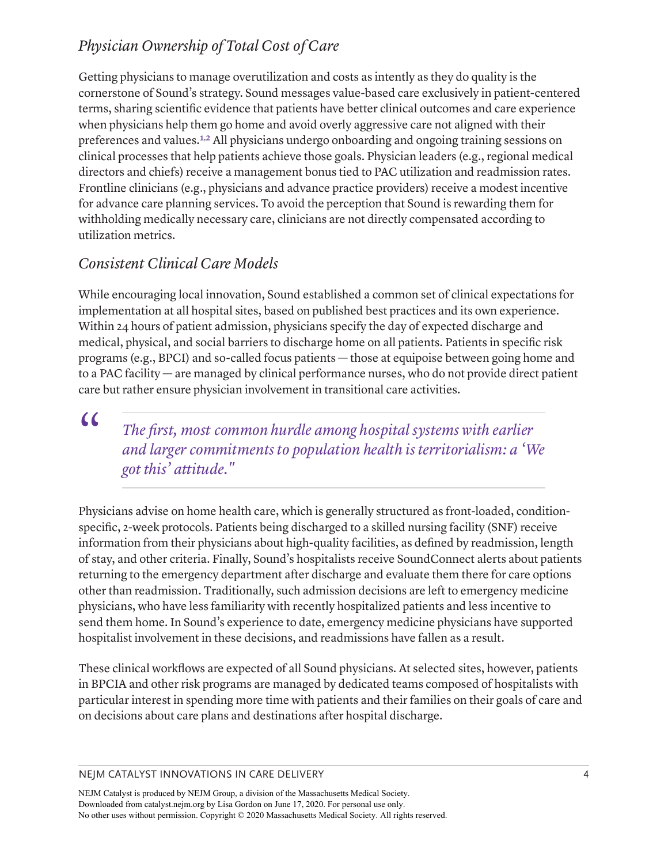## *Physician Ownership of Total Cost of Care*

Getting physicians to manage overutilization and costs as intently as they do quality is the cornerstone of Sound's strategy. Sound messages value-based care exclusively in patient-centered terms, sharing scientific evidence that patients have better clinical outcomes and care experience when physicians help them go home and avoid overly aggressive care not aligned with their preferences and values.<sup>1,2</sup> All physicians undergo onboarding and ongoing training sessions on clinical processes that help patients achieve those goals. Physician leaders (e.g., regional medical directors and chiefs) receive a management bonus tied to PAC utilization and readmission rates. Frontline clinicians (e.g., physicians and advance practice providers) receive a modest incentive for advance care planning services. To avoid the perception that Sound is rewarding them for withholding medically necessary care, clinicians are not directly compensated according to utilization metrics.

#### *Consistent Clinical Care Models*

While encouraging local innovation, Sound established a common set of clinical expectations for implementation at all hospital sites, based on published best practices and its own experience. Within 24 hours of patient admission, physicians specify the day of expected discharge and medical, physical, and social barriers to discharge home on all patients. Patients in specific risk programs (e.g., BPCI) and so-called focus patients — those at equipoise between going home and to a PAC facility — are managed by clinical performance nurses, who do not provide direct patient care but rather ensure physician involvement in transitional care activities.

 $\epsilon$ 

*The first, most common hurdle among hospital systems with earlier and larger commitments to population health is territorialism: a 'We got this' attitude."*

Physicians advise on home health care, which is generally structured as front-loaded, conditionspecific, 2-week protocols. Patients being discharged to a skilled nursing facility (SNF) receive information from their physicians about high-quality facilities, as defined by readmission, length of stay, and other criteria. Finally, Sound's hospitalists receive SoundConnect alerts about patients returning to the emergency department after discharge and evaluate them there for care options other than readmission. Traditionally, such admission decisions are left to emergency medicine physicians, who have less familiarity with recently hospitalized patients and less incentive to send them home. In Sound's experience to date, emergency medicine physicians have supported hospitalist involvement in these decisions, and readmissions have fallen as a result.

These clinical workflows are expected of all Sound physicians. At selected sites, however, patients in BPCIA and other risk programs are managed by dedicated teams composed of hospitalists with particular interest in spending more time with patients and their families on their goals of care and on decisions about care plans and destinations after hospital discharge.

NEJM CATALYST INNOVATIONS IN CARE DELIVERY 4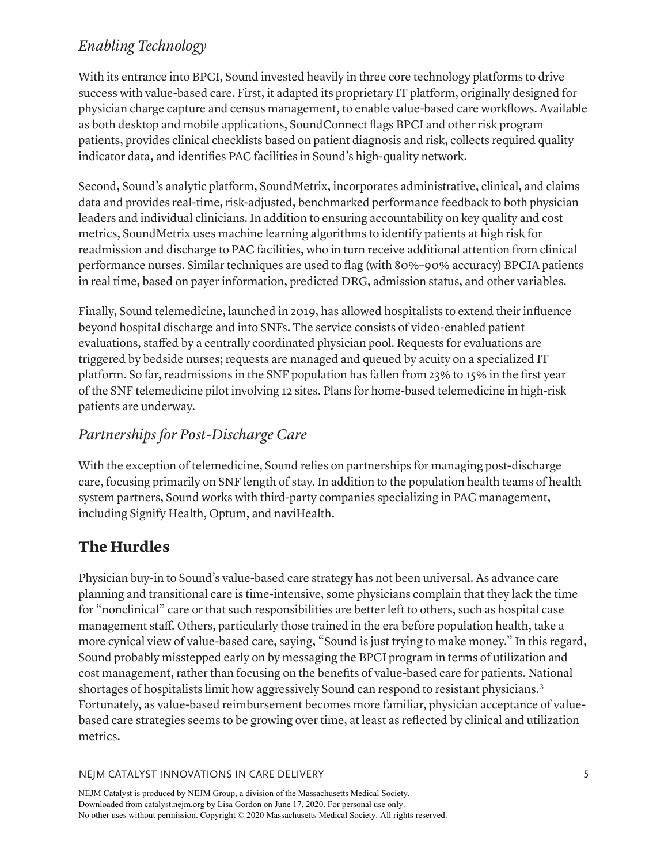### *Enabling Technologꢀ*

With its entrance into BPCI, Sound invested heavily in three core technology platforms to drive success with value-based care. First, it adapted its proprietary IT platform, originally designed for physician charge capture and census management, to enable value-based care workflows. Available as both desktop and mobile applications, SoundConnect flags BPCI and other risk program patients, provides clinical checklists based on patient diagnosis and risk, collects required quality indicator data, and identifies PAC facilities in Sound's high-quality network.

Second, Sound's analytic platform, SoundMetrix, incorporates administrative, clinical, and claims data and provides real-time, risk-adjusted, benchmarked performance feedback to both physician leaders and individual clinicians. In addition to ensuring accountability on key quality and cost metrics, SoundMetrix uses machine learning algorithms to identify patients at high risk for readmission and discharge to PAC facilities, who in turn receive additional attention from clinical performance nurses. Similar techniques are used to flag (with 80%–90% accuracy) BPCIA patients in real time, based on payer information, predicted DRG, admission status, and other variables.

Finally, Sound telemedicine, launched in 2019, has allowed hospitalists to extend their influence beyond hospital discharge and into SNFs. The service consists of video-enabled patient evaluations, staffed by a centrally coordinated physician pool. Requests for evaluations are triggered by bedside nurses; requests are managed and queued by acuity on a specialized IT platform. So far, readmissions in the SNF population has fallen from 23% to 15% in the first year of the SNF telemedicine pilot involving 12 sites. Plans for home-based telemedicine in high-risk patients are underway.

#### *Partnerships for Post-Discharge Care*

With the exception of telemedicine, Sound relies on partnerships for managing post-discharge care, focusing primarily on SNF length of stay. In addition to the population health teams of health system partners, Sound works with third-party companies specializing in PAC management, including Signify Health, Optum, and naviHealth.

## **The Hurdles**

Physician buy-in to Sound's value-based care strategy has not been universal. As advance care planning and transitional care is time-intensive, some physicians complain that they lack the time for "nonclinical" care or that such responsibilities are better left to others, such as hospital case management staff. Others, particularly those trained in the era before population health, take a more cynical view of value-based care, saying, "Sound is just trying to make money." In this regard, Sound probably misstepped early on by messaging the BPCI program in terms of utilization and cost management, rather than focusing on the benefits of value-based care for patients. National shortages of hospitalists limit how aggressively Sound can respond to resistant physicians.<sup>3</sup> Fortunately, as value-based reimbursement becomes more familiar, physician acceptance of valuebased care strategies seems to be growing over time, at least as reflected by clinical and utilization metrics.

#### NEJM CATALYST INNOVATIONS IN CARE DELIVERY **FOULD ASSESSED ASSESSED ASSESSED.** S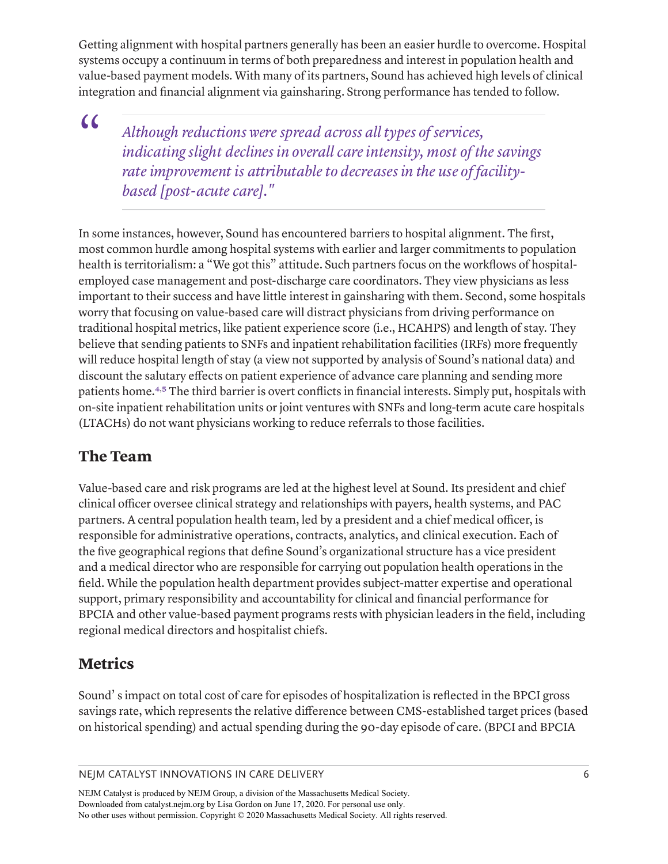Getting alignment with hospital partners generally has been an easier hurdle to overcome. Hospital systems occupy a continuum in terms of both preparedness and interest in population health and value-based payment models. With many of its partners, Sound has achieved high levels of clinical integration and financial alignment via gainsharing. Strong performance has tended to follow.

 $\alpha$ 

*Although reductions were spread across all types of services, indicating slight declines in overall care intensity, most of the savings rate improvement is attributable to decreases in the use of facilitybased [post-acute care]."*

In some instances, however, Sound has encountered barriers to hospital alignment. The first, most common hurdle among hospital systems with earlier and larger commitments to population health is territorialism: a "We got this" attitude. Such partners focus on the workflows of hospitalemployed case management and post-discharge care coordinators. They view physicians as less important to their success and have little interest in gainsharing with them. Second, some hospitals worry that focusing on value-based care will distract physicians from driving performance on traditional hospital metrics, like patient experience score (i.e., HCAHPS) and length of stay. They believe that sending patients to SNFs and inpatient rehabilitation facilities (IRFs) more frequently will reduce hospital length of stay (a view not supported by analysis of Sound's national data) and discount the salutary effects on patient experience of advance care planning and sending more patients home.<sup>4,5</sup> The third barrier is overt conflicts in financial interests. Simply put, hospitals with on-site inpatient rehabilitation units or joint ventures with SNFs and long-term acute care hospitals (LTACHs) do not want physicians working to reduce referrals to those facilities.

## **The Team**

Value-based care and risk programs are led at the highest level at Sound. Its president and chief clinical officer oversee clinical strategy and relationships with payers, health systems, and PAC partners. A central population health team, led by a president and a chief medical officer, is responsible for administrative operations, contracts, analytics, and clinical execution. Each of the five geographical regions that define Sound's organizational structure has a vice president and a medical director who are responsible for carrying out population health operations in the field. While the population health department provides subject-matter expertise and operational support, primary responsibility and accountability for clinical and financial performance for BPCIA and other value-based payment programs rests with physician leaders in the field, including regional medical directors and hospitalist chiefs.

### **Metrics**

Sound' s impact on total cost of care for episodes of hospitalization is reflected in the BPCI gross savings rate, which represents the relative difference between CMS-established target prices (based on historical spending) and actual spending during the 90-day episode of care. (BPCI and BPCIA

NEJM CATALYST INNOVATIONS IN CARE DELIVERY 6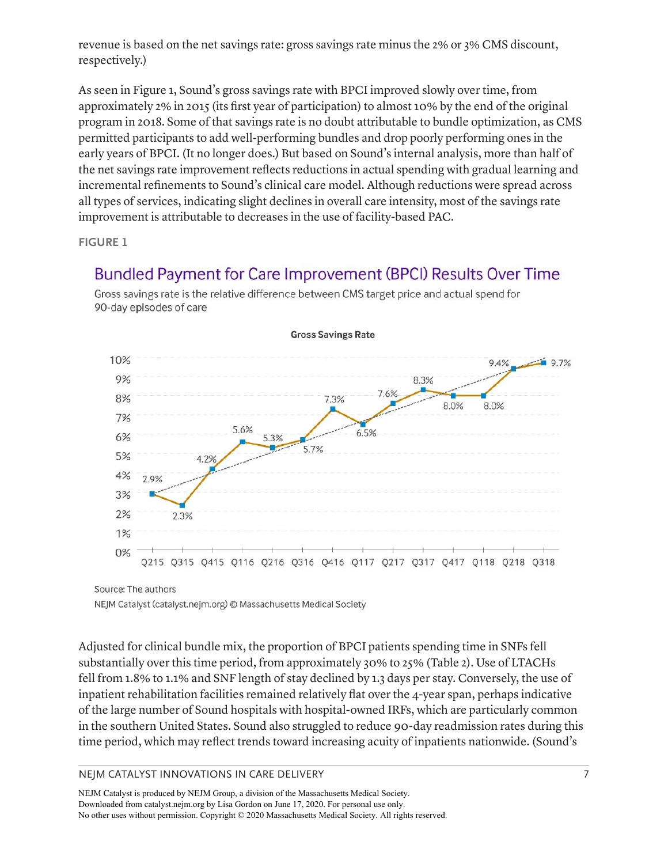revenue is based on the net savings rate: gross savings rate minus the 2% or 3% CMS discount, respectively.)

As seen in Figure 1, Sound's gross savings rate with BPCI improved slowly over time, from approximately 2% in 2015 (its first year of participation) to almost 10% by the end of the original program in 2018. Some of that savings rate is no doubt attributable to bundle optimization, as CMS permitted participants to add well-performing bundles and drop poorly performing ones in the early years of BPCI. (It no longer does.) But based on Sound's internal analysis, more than half of the net savings rate improvement reflects reductions in actual spending with gradual learning and incremental refinements to Sound's clinical care model. Although reductions were spread across all types of services, indicating slight declines in overall care intensity, most of the savings rate improvement is attributable to decreases in the use of facility-based PAC.

FIGURE 1

### Bundled Payment for Care Improvement (BPCI) Results Over Time



Gross savings rate is the relative difference between CMS target price and actual spend for 90-day episodes of care

Source: The authors NEJM Catalyst (catalyst.nejm.org) © Massachusetts Medical Society

Adjusted for clinical bundle mix, the proportion of BPCI patients spending time in SNFs fell substantially over this time period, from approximately 30% to 25% (Table 2). Use of LTACHs fell from 1.8% to 1.1% and SNF length of stay declined by 1.3 days per stay. Conversely, the use of inpatient rehabilitation facilities remained relatively flat over the 4-year span, perhaps indicative of the large number of Sound hospitals with hospital-owned IRFs, which are particularly common in the southern United States. Sound also struggled to reduce 90-day readmission rates during this time period, which may reflect trends toward increasing acuity of inpatients nationwide. (Sound's

#### NEJM CATALYST INNOVATIONS IN CARE DELIVERY **THE SET OF STATE ASSESSMENT REPARTMENT** T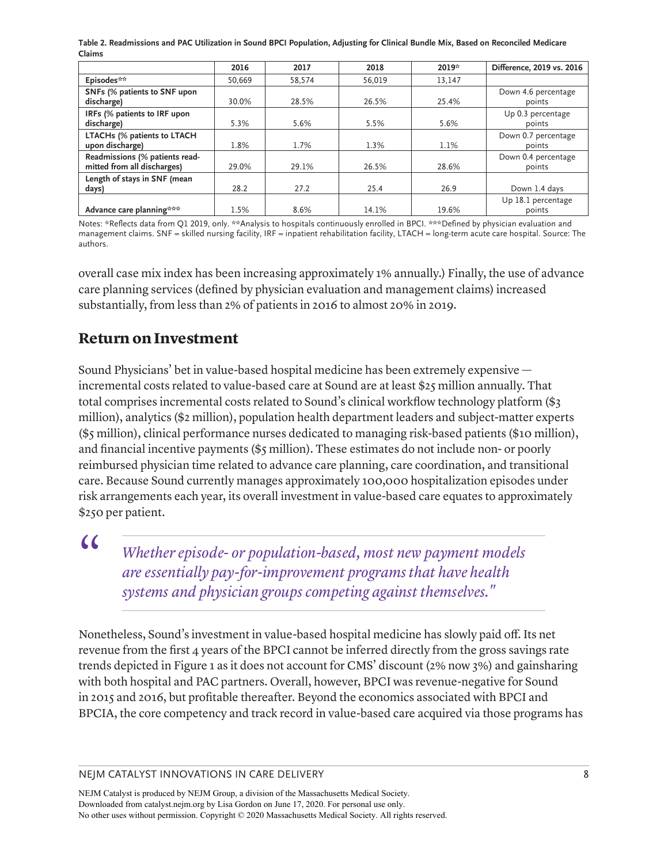Table 2. Readmissions and PAC Utilization in Sound BPCI Population, Adjusting for Clinical Bundle Mix, Based on Reconciled Medicare Claims

|                                | 2016   | 2017   | 2018   | 2019*  | Difference, 2019 vs. 2016 |
|--------------------------------|--------|--------|--------|--------|---------------------------|
| Episodes**                     | 50.669 | 58.574 | 56,019 | 13.147 |                           |
| SNFs (% patients to SNF upon   |        |        |        |        | Down 4.6 percentage       |
| discharge)                     | 30.0%  | 28.5%  | 26.5%  | 25.4%  | points                    |
| IRFs (% patients to IRF upon   |        |        |        |        | Up 0.3 percentage         |
| discharge)                     | 5.3%   | 5.6%   | 5.5%   | 5.6%   | points                    |
| LTACHs (% patients to LTACH    |        |        |        |        | Down 0.7 percentage       |
| upon discharge)                | 1.8%   | 1.7%   | 1.3%   | 1.1%   | points                    |
| Readmissions (% patients read- |        |        |        |        | Down 0.4 percentage       |
| mitted from all discharges)    | 29.0%  | 29.1%  | 26.5%  | 28.6%  | points                    |
| Length of stays in SNF (mean   |        |        |        |        |                           |
| days)                          | 28.2   | 27.2   | 25.4   | 26.9   | Down 1.4 days             |
|                                |        |        |        |        | Up 18.1 percentage        |
| Advance care planning****      | 1.5%   | 8.6%   | 14.1%  | 19.6%  | points                    |

Notes: \*Reflects data from Q1 2019, only. \*\*Analysis to hospitals continuously enrolled in BPCI. \*\*\*Defined by physician evaluation and management claims. SNF = skilled nursing facility, IRF = inpatient rehabilitation facility, LTACH = long-term acute care hospital. Source: The authors.

overall case mix index has been increasing approximately 1% annually.) Finally, the use of advance care planning services (defined by physician evaluation and management claims) increased substantially, from less than 2% of patients in 2016 to almost 20% in 2019.

#### **Return on Investment**

Sound Physicians' bet in value-based hospital medicine has been extremely expensive incremental costs related to value-based care at Sound are at least \$25 million annually. That total comprises incremental costs related to Sound's clinical workflow technology platform (\$3 million), analytics (\$2 million), population health department leaders and subject-matter experts (\$5 million), clinical performance nurses dedicated to managing risk-based patients (\$10 million), and financial incentive payments (\$5 million). These estimates do not include non- or poorly reimbursed physician time related to advance care planning, care coordination, and transitional care. Because Sound currently manages approximately 100,000 hospitalization episodes under risk arrangements each year, its overall investment in value-based care equates to approximately \$250 per patient.

 $\alpha$ 

*Whether episode- or population-based, most new payment models are essentially pay-for-improvement programs that have health systems and physician groups competing against themselves."*

Nonetheless, Sound's investment in value-based hospital medicine has slowly paid off. Its net revenue from the first 4 years of the BPCI cannot be inferred directly from the gross savings rate trends depicted in Figure 1 as it does not account for CMS' discount (2% now 3%) and gainsharing with both hospital and PAC partners. Overall, however, BPCI was revenue-negative for Sound in 2015 and 2016, but profitable thereafter. Beyond the economics associated with BPCI and BPCIA, the core competency and track record in value-based care acquired via those programs has

#### NEJM CATALYST INNOVATIONS IN CARE DELIVERY **8** 8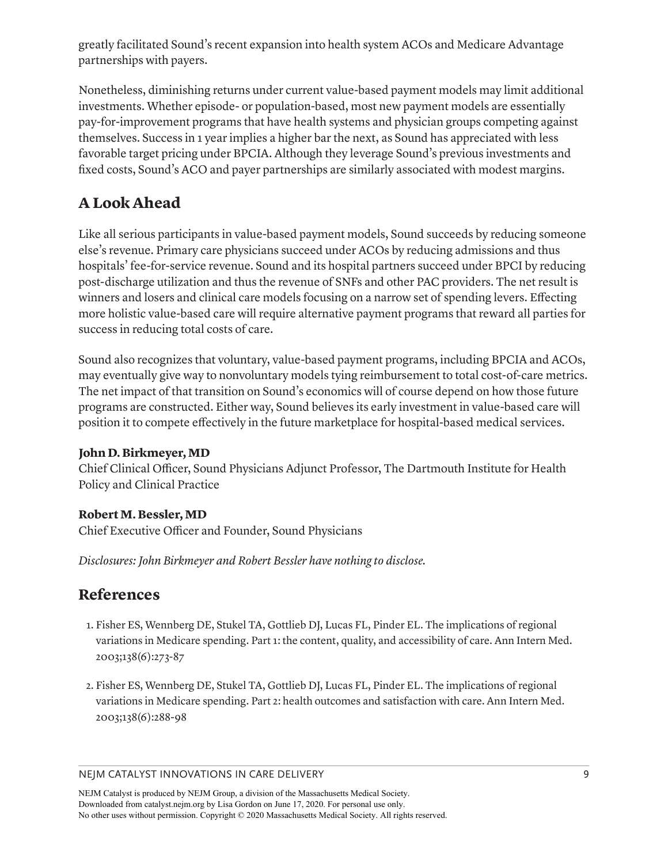greatly facilitated Sound's recent expansion into health system ACOs and Medicare Advantage partnerships with payers.

Nonetheless, diminishing returns under current value-based payment models may limit additional investments. Whether episode- or population-based, most new payment models are essentially pay-for-improvement programs that have health systems and physician groups competing against themselves. Success in 1 year implies a higher bar the next, as Sound has appreciated with less favorable target pricing under BPCIA. Although they leverage Sound's previous investments and fixed costs, Sound's ACO and payer partnerships are similarly associated with modest margins.

# **A Look Ahead**

Like all serious participants in value-based payment models, Sound succeeds by reducing someone else's revenue. Primary care physicians succeed under ACOs by reducing admissions and thus hospitals' fee-for-service revenue. Sound and its hospital partners succeed under BPCI by reducing post-discharge utilization and thus the revenue of SNFs and other PAC providers. The net result is winners and losers and clinical care models focusing on a narrow set of spending levers. Effecting more holistic value-based care will require alternative payment programs that reward all parties for success in reducing total costs of care.

Sound also recognizes that voluntary, value-based payment programs, including BPCIA and ACOs, may eventually give way to nonvoluntary models tying reimbursement to total cost-of-care metrics. The net impact of that transition on Sound's economics will of course depend on how those future programs are constructed. Either way, Sound believes its early investment in value-based care will position it to compete effectively in the future marketplace for hospital-based medical services.

#### **John D. Birkmeyer, MD**

Chief Clinical Officer, Sound Physicians Adjunct Professor, The Dartmouth Institute for Health Policy and Clinical Practice

#### **Robert M. Bessler, MD**

Chief Executive Officer and Founder, Sound Physicians

*Disclosures: John Birkmeyer and Robert Bessler have nothing to disclose.*

### **References**

- 1. Fisher ES, Wennberg DE, Stukel TA, Gottlieb DJ, Lucas FL, Pinder EL. The implications of regional variations in Medicare spending. Part 1: the content, quality, and accessibility of care. Ann Intern Med. 2003;138(6):273-87
- 2. Fisher ES, Wennberg DE, Stukel TA, Gottlieb DJ, Lucas FL, Pinder EL. The implications of regional variations in Medicare spending. Part 2: health outcomes and satisfaction with care. Ann Intern Med. 2003;138(6):288-98

#### NEJM CATALYST INNOVATIONS IN CARE DELIVERY 9